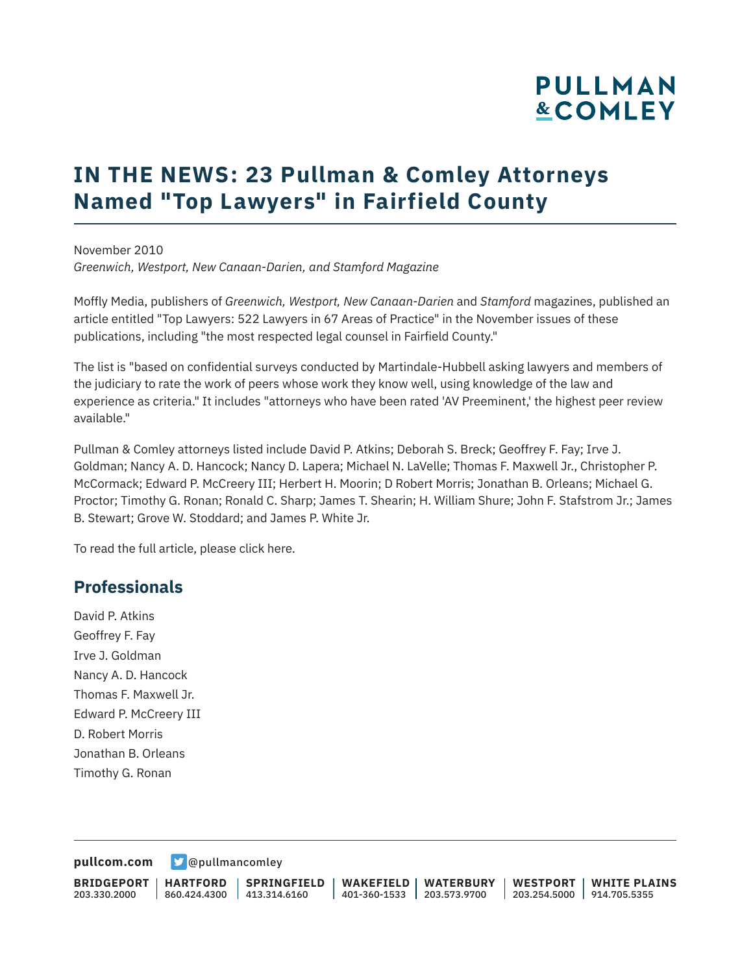# **PULLMAN &COMLEY**

## **IN THE NEWS: 23 Pullman & Comley Attorneys Named "Top Lawyers" in Fairfield County**

November 2010 *Greenwich, Westport, New Canaan-Darien, and Stamford Magazine*

Moffly Media, publishers of *Greenwich, Westport, New Canaan-Darien* and *Stamford* magazines, published an article entitled "Top Lawyers: 522 Lawyers in 67 Areas of Practice" in the November issues of these publications, including "the most respected legal counsel in Fairfield County."

The list is "based on confidential surveys conducted by Martindale-Hubbell asking lawyers and members of the judiciary to rate the work of peers whose work they know well, using knowledge of the law and experience as criteria." It includes "attorneys who have been rated 'AV Preeminent,' the highest peer review available."

Pullman & Comley attorneys listed include David P. Atkins; Deborah S. Breck; Geoffrey F. Fay; Irve J. Goldman; Nancy A. D. Hancock; Nancy D. Lapera; Michael N. LaVelle; Thomas F. Maxwell Jr., Christopher P. McCormack; Edward P. McCreery III; Herbert H. Moorin; D Robert Morris; Jonathan B. Orleans; Michael G. Proctor; Timothy G. Ronan; Ronald C. Sharp; James T. Shearin; H. William Shure; John F. Stafstrom Jr.; James B. Stewart; Grove W. Stoddard; and James P. White Jr.

To read the full article, please click here.

#### **Professionals**

David P. Atkins Geoffrey F. Fay Irve J. Goldman Nancy A. D. Hancock Thomas F. Maxwell Jr. Edward P. McCreery III D. Robert Morris Jonathan B. Orleans Timothy G. Ronan

**[pullcom.com](https://www.pullcom.com) g** [@pullmancomley](https://twitter.com/PullmanComley)

**BRIDGEPORT** 203.330.2000 **HARTFORD** 860.424.4300 413.314.6160 **SPRINGFIELD WAKEFIELD WATERBURY** 401-360-1533 203.573.9700 **WESTPORT WHITE PLAINS** 203.254.5000 914.705.5355